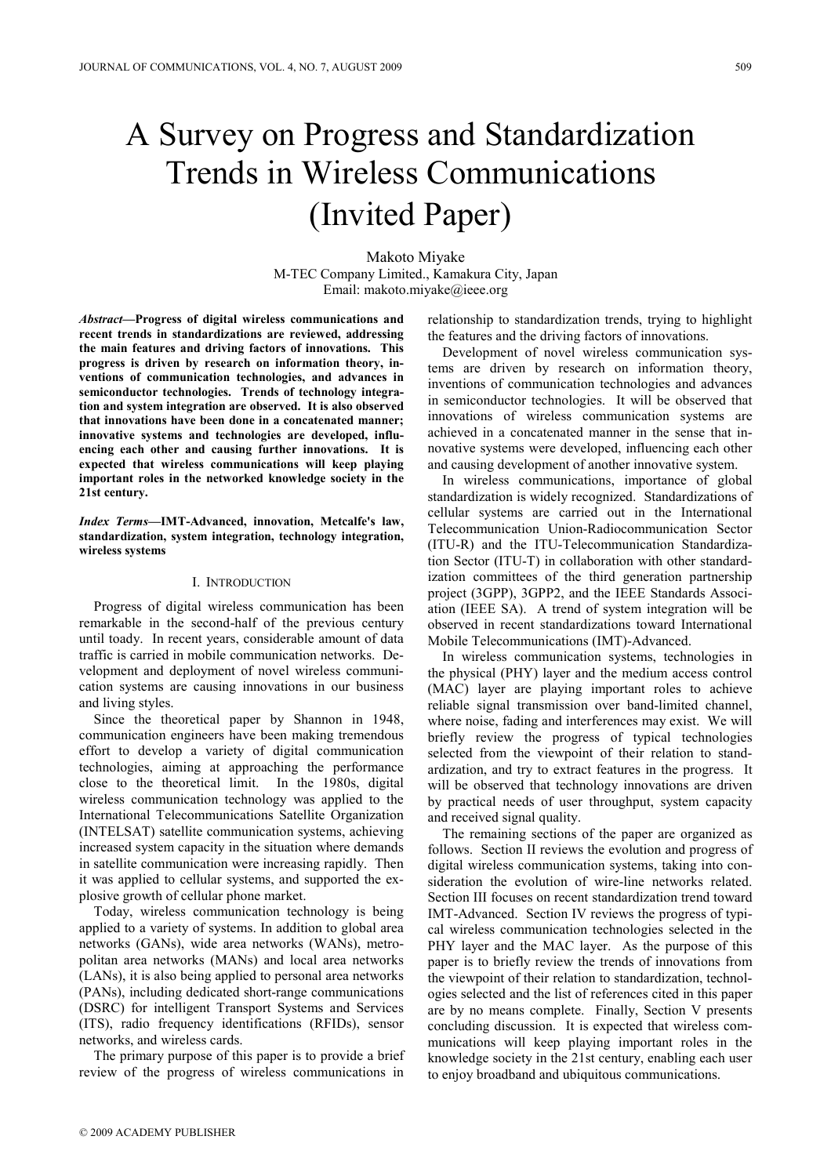# A Survey on Progress and Standardization Trends in Wireless Communications (Invited Paper)

Makoto Miyake M-TEC Company Limited., Kamakura City, Japan Email: makoto.miyake@ieee.org

Abstract—Progress of digital wireless communications and recent trends in standardizations are reviewed, addressing the main features and driving factors of innovations. This progress is driven by research on information theory, inventions of communication technologies, and advances in semiconductor technologies. Trends of technology integration and system integration are observed. It is also observed that innovations have been done in a concatenated manner; innovative systems and technologies are developed, influencing each other and causing further innovations. It is expected that wireless communications will keep playing important roles in the networked knowledge society in the 21st century.

Index Terms—IMT-Advanced, innovation, Metcalfe's law, standardization, system integration, technology integration, wireless systems

#### I. INTRODUCTION

Progress of digital wireless communication has been remarkable in the second-half of the previous century until toady. In recent years, considerable amount of data traffic is carried in mobile communication networks. Development and deployment of novel wireless communication systems are causing innovations in our business and living styles.

Since the theoretical paper by Shannon in 1948, communication engineers have been making tremendous effort to develop a variety of digital communication technologies, aiming at approaching the performance close to the theoretical limit. In the 1980s, digital wireless communication technology was applied to the International Telecommunications Satellite Organization (INTELSAT) satellite communication systems, achieving increased system capacity in the situation where demands in satellite communication were increasing rapidly. Then it was applied to cellular systems, and supported the explosive growth of cellular phone market.

Today, wireless communication technology is being applied to a variety of systems. In addition to global area networks (GANs), wide area networks (WANs), metropolitan area networks (MANs) and local area networks (LANs), it is also being applied to personal area networks (PANs), including dedicated short-range communications (DSRC) for intelligent Transport Systems and Services (ITS), radio frequency identifications (RFIDs), sensor networks, and wireless cards.

The primary purpose of this paper is to provide a brief review of the progress of wireless communications in

relationship to standardization trends, trying to highlight the features and the driving factors of innovations.

Development of novel wireless communication systems are driven by research on information theory, inventions of communication technologies and advances in semiconductor technologies. It will be observed that innovations of wireless communication systems are achieved in a concatenated manner in the sense that innovative systems were developed, influencing each other and causing development of another innovative system.

In wireless communications, importance of global standardization is widely recognized. Standardizations of cellular systems are carried out in the International Telecommunication Union-Radiocommunication Sector (ITU-R) and the ITU-Telecommunication Standardization Sector (ITU-T) in collaboration with other standardization committees of the third generation partnership project (3GPP), 3GPP2, and the IEEE Standards Association (IEEE SA). A trend of system integration will be observed in recent standardizations toward International Mobile Telecommunications (IMT)-Advanced.

In wireless communication systems, technologies in the physical (PHY) layer and the medium access control (MAC) layer are playing important roles to achieve reliable signal transmission over band-limited channel, where noise, fading and interferences may exist. We will briefly review the progress of typical technologies selected from the viewpoint of their relation to standardization, and try to extract features in the progress. It will be observed that technology innovations are driven by practical needs of user throughput, system capacity and received signal quality.

The remaining sections of the paper are organized as follows. Section II reviews the evolution and progress of digital wireless communication systems, taking into consideration the evolution of wire-line networks related. Section III focuses on recent standardization trend toward IMT-Advanced. Section IV reviews the progress of typical wireless communication technologies selected in the PHY layer and the MAC layer. As the purpose of this paper is to briefly review the trends of innovations from the viewpoint of their relation to standardization, technologies selected and the list of references cited in this paper are by no means complete. Finally, Section V presents concluding discussion. It is expected that wireless communications will keep playing important roles in the knowledge society in the 21st century, enabling each user to enjoy broadband and ubiquitous communications.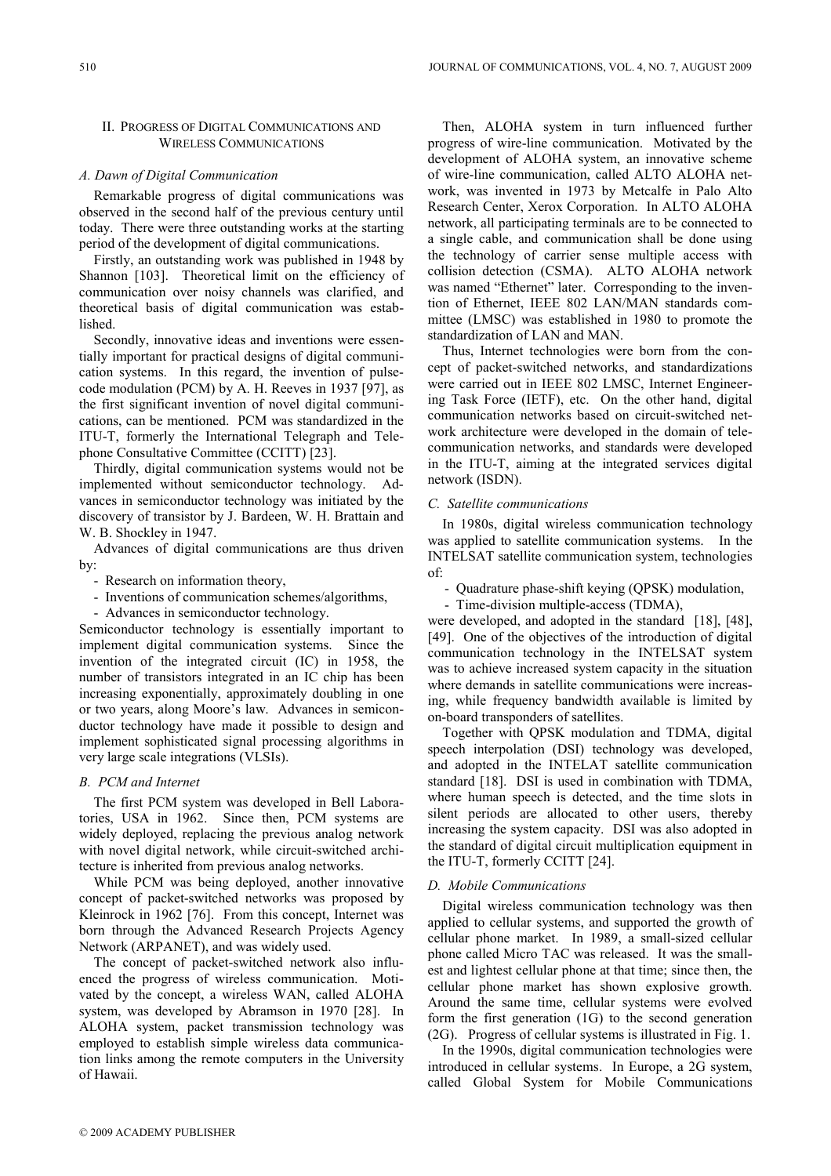## II. PROGRESS OF DIGITAL COMMUNICATIONS AND WIRELESS COMMUNICATIONS

## A. Dawn of Digital Communication

Remarkable progress of digital communications was observed in the second half of the previous century until today. There were three outstanding works at the starting period of the development of digital communications.

Firstly, an outstanding work was published in 1948 by Shannon [103]. Theoretical limit on the efficiency of communication over noisy channels was clarified, and theoretical basis of digital communication was established.

Secondly, innovative ideas and inventions were essentially important for practical designs of digital communication systems. In this regard, the invention of pulsecode modulation (PCM) by A. H. Reeves in 1937 [97], as the first significant invention of novel digital communications, can be mentioned. PCM was standardized in the ITU-T, formerly the International Telegraph and Telephone Consultative Committee (CCITT) [23].

Thirdly, digital communication systems would not be implemented without semiconductor technology. Advances in semiconductor technology was initiated by the discovery of transistor by J. Bardeen, W. H. Brattain and W. B. Shockley in 1947.

Advances of digital communications are thus driven by:

- Research on information theory,
- Inventions of communication schemes/algorithms,
- Advances in semiconductor technology.

Semiconductor technology is essentially important to implement digital communication systems. Since the invention of the integrated circuit (IC) in 1958, the number of transistors integrated in an IC chip has been increasing exponentially, approximately doubling in one or two years, along Moore's law. Advances in semiconductor technology have made it possible to design and implement sophisticated signal processing algorithms in very large scale integrations (VLSIs).

#### B. PCM and Internet

The first PCM system was developed in Bell Laboratories, USA in 1962. Since then, PCM systems are widely deployed, replacing the previous analog network with novel digital network, while circuit-switched architecture is inherited from previous analog networks.

While PCM was being deployed, another innovative concept of packet-switched networks was proposed by Kleinrock in 1962 [76]. From this concept, Internet was born through the Advanced Research Projects Agency Network (ARPANET), and was widely used.

The concept of packet-switched network also influenced the progress of wireless communication. Motivated by the concept, a wireless WAN, called ALOHA system, was developed by Abramson in 1970 [28]. In ALOHA system, packet transmission technology was employed to establish simple wireless data communication links among the remote computers in the University of Hawaii.

Then, ALOHA system in turn influenced further progress of wire-line communication. Motivated by the development of ALOHA system, an innovative scheme of wire-line communication, called ALTO ALOHA network, was invented in 1973 by Metcalfe in Palo Alto Research Center, Xerox Corporation. In ALTO ALOHA network, all participating terminals are to be connected to a single cable, and communication shall be done using the technology of carrier sense multiple access with collision detection (CSMA). ALTO ALOHA network was named "Ethernet" later. Corresponding to the invention of Ethernet, IEEE 802 LAN/MAN standards committee (LMSC) was established in 1980 to promote the standardization of LAN and MAN.

Thus, Internet technologies were born from the concept of packet-switched networks, and standardizations were carried out in IEEE 802 LMSC, Internet Engineering Task Force (IETF), etc. On the other hand, digital communication networks based on circuit-switched network architecture were developed in the domain of telecommunication networks, and standards were developed in the ITU-T, aiming at the integrated services digital network (ISDN).

#### C. Satellite communications

In 1980s, digital wireless communication technology was applied to satellite communication systems. In the INTELSAT satellite communication system, technologies of:

- Quadrature phase-shift keying (QPSK) modulation,

- Time-division multiple-access (TDMA),

were developed, and adopted in the standard [18], [48], [49]. One of the objectives of the introduction of digital communication technology in the INTELSAT system was to achieve increased system capacity in the situation where demands in satellite communications were increasing, while frequency bandwidth available is limited by on-board transponders of satellites.

Together with QPSK modulation and TDMA, digital speech interpolation (DSI) technology was developed, and adopted in the INTELAT satellite communication standard [18]. DSI is used in combination with TDMA, where human speech is detected, and the time slots in silent periods are allocated to other users, thereby increasing the system capacity. DSI was also adopted in the standard of digital circuit multiplication equipment in the ITU-T, formerly CCITT [24].

## D. Mobile Communications

Digital wireless communication technology was then applied to cellular systems, and supported the growth of cellular phone market. In 1989, a small-sized cellular phone called Micro TAC was released. It was the smallest and lightest cellular phone at that time; since then, the cellular phone market has shown explosive growth. Around the same time, cellular systems were evolved form the first generation (1G) to the second generation (2G). Progress of cellular systems is illustrated in Fig. 1.

In the 1990s, digital communication technologies were introduced in cellular systems. In Europe, a 2G system, called Global System for Mobile Communications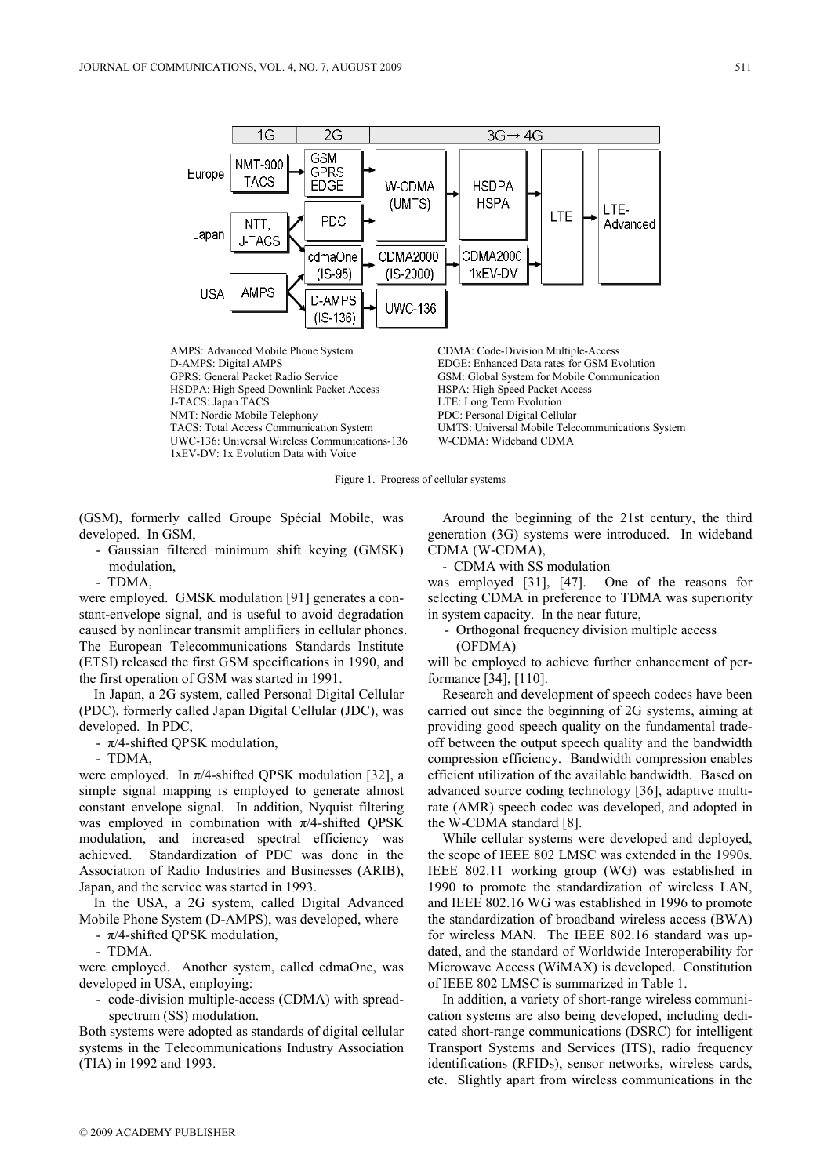

AMPS: Advanced Mobile Phone System CDMA: Code-Division Multiple-Access<br>
D-AMPS: Digital AMPS EDGE: Enhanced Data rates for GSM E D-AMPS: Digital AMPS<br>
GEDGE: Enhanced Data rates for GSM Evolution<br>
GSM: Global System for Mobile Communication<br>
GSM: Global System for Mobile Communication HSDPA: High Speed Downlink Packet Access J-TACS: Japan TACS LTE: Long Term Evolution NMT: Nordic Mobile Telephony PDC: Personal Digital Cellular UWC-136: Universal Wireless Communications-136 W-CDMA: Wideband CDMA 1xEV-DV: 1x Evolution Data with Voice

GSM: Global System for Mobile Communication HSPA: High Speed Packet Access UMTS: Universal Mobile Telecommunications System

Figure 1. Progress of cellular systems

(GSM), formerly called Groupe Spécial Mobile, was developed. In GSM,

- Gaussian filtered minimum shift keying (GMSK) modulation,
- TDMA,

were employed. GMSK modulation [91] generates a constant-envelope signal, and is useful to avoid degradation caused by nonlinear transmit amplifiers in cellular phones. The European Telecommunications Standards Institute (ETSI) released the first GSM specifications in 1990, and the first operation of GSM was started in 1991.

In Japan, a 2G system, called Personal Digital Cellular (PDC), formerly called Japan Digital Cellular (JDC), was developed. In PDC,

-  $\pi$ /4-shifted QPSK modulation,

- TDMA,

were employed. In  $\pi/4$ -shifted QPSK modulation [32], a simple signal mapping is employed to generate almost constant envelope signal. In addition, Nyquist filtering was employed in combination with  $\pi/4$ -shifted OPSK modulation, and increased spectral efficiency was achieved. Standardization of PDC was done in the Association of Radio Industries and Businesses (ARIB), Japan, and the service was started in 1993.

In the USA, a 2G system, called Digital Advanced Mobile Phone System (D-AMPS), was developed, where

 $-\pi/4$ -shifted QPSK modulation,

- TDMA.

were employed. Another system, called cdmaOne, was developed in USA, employing:

- code-division multiple-access (CDMA) with spreadspectrum (SS) modulation.

Both systems were adopted as standards of digital cellular systems in the Telecommunications Industry Association (TIA) in 1992 and 1993.

Around the beginning of the 21st century, the third generation (3G) systems were introduced. In wideband CDMA (W-CDMA),

- CDMA with SS modulation

was employed [31], [47]. One of the reasons for selecting CDMA in preference to TDMA was superiority in system capacity. In the near future,

- Orthogonal frequency division multiple access (OFDMA)

will be employed to achieve further enhancement of performance [34], [110].

Research and development of speech codecs have been carried out since the beginning of 2G systems, aiming at providing good speech quality on the fundamental tradeoff between the output speech quality and the bandwidth compression efficiency. Bandwidth compression enables efficient utilization of the available bandwidth. Based on advanced source coding technology [36], adaptive multirate (AMR) speech codec was developed, and adopted in the W-CDMA standard [8].

While cellular systems were developed and deployed, the scope of IEEE 802 LMSC was extended in the 1990s. IEEE 802.11 working group (WG) was established in 1990 to promote the standardization of wireless LAN, and IEEE 802.16 WG was established in 1996 to promote the standardization of broadband wireless access (BWA) for wireless MAN. The IEEE 802.16 standard was updated, and the standard of Worldwide Interoperability for Microwave Access (WiMAX) is developed. Constitution of IEEE 802 LMSC is summarized in Table 1.

In addition, a variety of short-range wireless communication systems are also being developed, including dedicated short-range communications (DSRC) for intelligent Transport Systems and Services (ITS), radio frequency identifications (RFIDs), sensor networks, wireless cards, etc. Slightly apart from wireless communications in the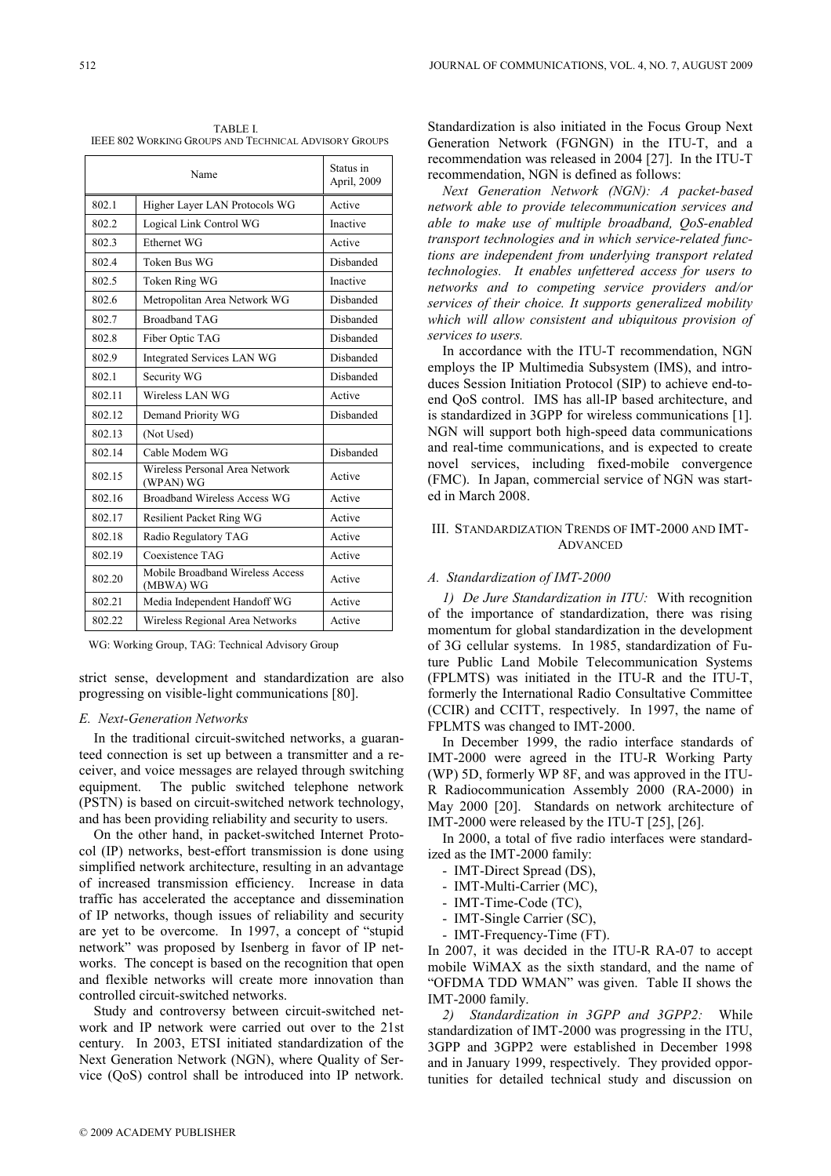TABLE I. IEEE 802 WORKING GROUPS AND TECHNICAL ADVISORY GROUPS

| Name   |                                               | Status in<br>April, 2009 |
|--------|-----------------------------------------------|--------------------------|
| 802.1  | Higher Layer LAN Protocols WG                 | Active                   |
| 802.2  | Logical Link Control WG                       | Inactive                 |
| 802.3  | Ethernet WG                                   | Active                   |
| 802.4  | Token Bus WG                                  | Disbanded                |
| 802.5  | Token Ring WG                                 | Inactive                 |
| 802.6  | Metropolitan Area Network WG                  | Disbanded                |
| 802.7  | <b>Broadband TAG</b>                          | Disbanded                |
| 802.8  | Fiber Optic TAG                               | Disbanded                |
| 802.9  | Integrated Services LAN WG                    | Disbanded                |
| 802.1  | Security WG                                   | Disbanded                |
| 802.11 | Wireless LAN WG                               | Active                   |
| 802.12 | Demand Priority WG                            | Disbanded                |
| 802.13 | (Not Used)                                    |                          |
| 802.14 | Cable Modem WG                                | Disbanded                |
| 802.15 | Wireless Personal Area Network<br>(WPAN) WG   | Active                   |
| 802.16 | <b>Broadband Wireless Access WG</b>           | Active                   |
| 802.17 | <b>Resilient Packet Ring WG</b>               | Active                   |
| 802.18 | Radio Regulatory TAG                          | Active                   |
| 802.19 | Coexistence TAG                               | Active                   |
| 802.20 | Mobile Broadband Wireless Access<br>(MBWA) WG | Active                   |
| 802.21 | Media Independent Handoff WG                  | Active                   |
| 802.22 | Wireless Regional Area Networks               | Active                   |

WG: Working Group, TAG: Technical Advisory Group

strict sense, development and standardization are also progressing on visible-light communications [80].

## E. Next-Generation Networks

In the traditional circuit-switched networks, a guaranteed connection is set up between a transmitter and a receiver, and voice messages are relayed through switching equipment. The public switched telephone network (PSTN) is based on circuit-switched network technology, and has been providing reliability and security to users.

On the other hand, in packet-switched Internet Protocol (IP) networks, best-effort transmission is done using simplified network architecture, resulting in an advantage of increased transmission efficiency. Increase in data traffic has accelerated the acceptance and dissemination of IP networks, though issues of reliability and security are yet to be overcome. In 1997, a concept of "stupid network" was proposed by Isenberg in favor of IP networks. The concept is based on the recognition that open and flexible networks will create more innovation than controlled circuit-switched networks.

Study and controversy between circuit-switched network and IP network were carried out over to the 21st century. In 2003, ETSI initiated standardization of the Next Generation Network (NGN), where Quality of Service (QoS) control shall be introduced into IP network.

Standardization is also initiated in the Focus Group Next Generation Network (FGNGN) in the ITU-T, and a recommendation was released in 2004 [27]. In the ITU-T recommendation, NGN is defined as follows:

Next Generation Network (NGN): A packet-based network able to provide telecommunication services and able to make use of multiple broadband, QoS-enabled transport technologies and in which service-related functions are independent from underlying transport related technologies. It enables unfettered access for users to networks and to competing service providers and/or services of their choice. It supports generalized mobility which will allow consistent and ubiquitous provision of services to users.

In accordance with the ITU-T recommendation, NGN employs the IP Multimedia Subsystem (IMS), and introduces Session Initiation Protocol (SIP) to achieve end-toend QoS control. IMS has all-IP based architecture, and is standardized in 3GPP for wireless communications [1]. NGN will support both high-speed data communications and real-time communications, and is expected to create novel services, including fixed-mobile convergence (FMC). In Japan, commercial service of NGN was started in March 2008.

# III. STANDARDIZATION TRENDS OF IMT-2000 AND IMT-ADVANCED

#### A. Standardization of IMT-2000

1) De Jure Standardization in ITU: With recognition of the importance of standardization, there was rising momentum for global standardization in the development of 3G cellular systems. In 1985, standardization of Future Public Land Mobile Telecommunication Systems (FPLMTS) was initiated in the ITU-R and the ITU-T, formerly the International Radio Consultative Committee (CCIR) and CCITT, respectively. In 1997, the name of FPLMTS was changed to IMT-2000.

In December 1999, the radio interface standards of IMT-2000 were agreed in the ITU-R Working Party (WP) 5D, formerly WP 8F, and was approved in the ITU-R Radiocommunication Assembly 2000 (RA-2000) in May 2000 [20]. Standards on network architecture of IMT-2000 were released by the ITU-T [25], [26].

In 2000, a total of five radio interfaces were standardized as the IMT-2000 family:

- IMT-Direct Spread (DS),
- IMT-Multi-Carrier (MC),
- IMT-Time-Code (TC),
- IMT-Single Carrier (SC),
- IMT-Frequency-Time (FT).

In 2007, it was decided in the ITU-R RA-07 to accept mobile WiMAX as the sixth standard, and the name of "OFDMA TDD WMAN" was given. Table II shows the IMT-2000 family.

2) Standardization in 3GPP and 3GPP2: While standardization of IMT-2000 was progressing in the ITU, 3GPP and 3GPP2 were established in December 1998 and in January 1999, respectively. They provided opportunities for detailed technical study and discussion on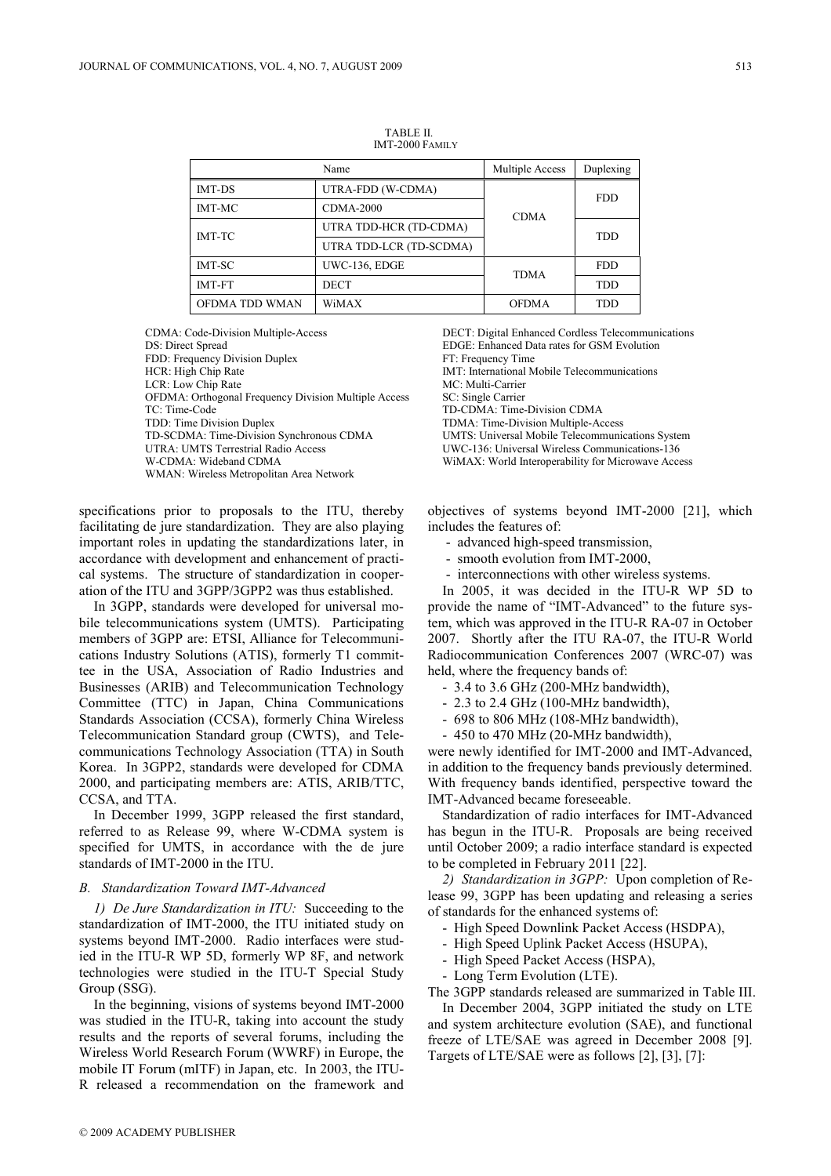|                | Multiple Access         | Duplexing    |            |
|----------------|-------------------------|--------------|------------|
| <b>IMT-DS</b>  | UTRA-FDD (W-CDMA)       |              | <b>FDD</b> |
| <b>IMT-MC</b>  | <b>CDMA-2000</b>        | <b>CDMA</b>  |            |
| <b>IMT-TC</b>  | UTRA TDD-HCR (TD-CDMA)  |              | <b>TDD</b> |
|                | UTRA TDD-LCR (TD-SCDMA) |              |            |
| <b>IMT-SC</b>  | UWC-136, EDGE           | <b>TDMA</b>  |            |
| <b>IMT-FT</b>  | <b>DECT</b>             |              | <b>TDD</b> |
| OFDMA TDD WMAN | WiMAX                   | <b>OFDMA</b> | TDD        |

TABLE II. IMT-2000 FAMILY

FDD: Frequency Division Duplex FT: Frequency Time HCR: High Chip Rate IMT: International Mobile Telecommunications<br>
LCR: Low Chip Rate IMT: International Mobile Telecommunications<br>
MC: Multi-Carrier LCR: Low Chip Rate OFDMA: Orthogonal Frequency Division Multiple Access SC: Single Carrier TC: Time-Code TD-CDMA: Time-Division CDMA TDD: Time Division Duplex TDMA: Time-Division Multiple-Access<br>TD-SCDMA: Time-Division Synchronous CDMA UMTS: Universal Mobile Telecommunications System TD-SCDMA: Time-Division Synchronous CDMA UTRA: UMTS Terrestrial Radio Access UWC-136: Universal Wireless Communications-136 W-CDMA: Wideband CDMA WiMAX: World Interoperability for Microwave Access WMAN: Wireless Metropolitan Area Network

specifications prior to proposals to the ITU, thereby facilitating de jure standardization. They are also playing important roles in updating the standardizations later, in accordance with development and enhancement of practical systems. The structure of standardization in cooperation of the ITU and 3GPP/3GPP2 was thus established.

In 3GPP, standards were developed for universal mobile telecommunications system (UMTS). Participating members of 3GPP are: ETSI, Alliance for Telecommunications Industry Solutions (ATIS), formerly T1 committee in the USA, Association of Radio Industries and Businesses (ARIB) and Telecommunication Technology Committee (TTC) in Japan, China Communications Standards Association (CCSA), formerly China Wireless Telecommunication Standard group (CWTS), and Telecommunications Technology Association (TTA) in South Korea. In 3GPP2, standards were developed for CDMA 2000, and participating members are: ATIS, ARIB/TTC, CCSA, and TTA.

In December 1999, 3GPP released the first standard, referred to as Release 99, where W-CDMA system is specified for UMTS, in accordance with the de jure standards of IMT-2000 in the ITU.

### B. Standardization Toward IMT-Advanced

1) De Jure Standardization in ITU: Succeeding to the standardization of IMT-2000, the ITU initiated study on systems beyond IMT-2000. Radio interfaces were studied in the ITU-R WP 5D, formerly WP 8F, and network technologies were studied in the ITU-T Special Study Group (SSG).

In the beginning, visions of systems beyond IMT-2000 was studied in the ITU-R, taking into account the study results and the reports of several forums, including the Wireless World Research Forum (WWRF) in Europe, the mobile IT Forum (mITF) in Japan, etc. In 2003, the ITU-R released a recommendation on the framework and

CDMA: Code-Division Multiple-Access DECT: Digital Enhanced Cordless Telecommunications<br>DS: Direct Spread Disc increases DS: Direct Spread Disc increases DS: Direct Spread Disc increases DS: Direct Spread Disc increases DS: EDGE: Enhanced Data rates for GSM Evolution

> objectives of systems beyond IMT-2000 [21], which includes the features of:

- advanced high-speed transmission,
- smooth evolution from IMT-2000,
- interconnections with other wireless systems.

In 2005, it was decided in the ITU-R WP 5D to provide the name of "IMT-Advanced" to the future system, which was approved in the ITU-R RA-07 in October 2007. Shortly after the ITU RA-07, the ITU-R World Radiocommunication Conferences 2007 (WRC-07) was held, where the frequency bands of:

- 3.4 to 3.6 GHz (200-MHz bandwidth),
- 2.3 to 2.4 GHz (100-MHz bandwidth),
- 698 to 806 MHz (108-MHz bandwidth),
- 450 to 470 MHz (20-MHz bandwidth),

were newly identified for IMT-2000 and IMT-Advanced, in addition to the frequency bands previously determined. With frequency bands identified, perspective toward the IMT-Advanced became foreseeable.

Standardization of radio interfaces for IMT-Advanced has begun in the ITU-R. Proposals are being received until October 2009; a radio interface standard is expected to be completed in February 2011 [22].

2) Standardization in 3GPP: Upon completion of Release 99, 3GPP has been updating and releasing a series of standards for the enhanced systems of:

- High Speed Downlink Packet Access (HSDPA),
- High Speed Uplink Packet Access (HSUPA),
- High Speed Packet Access (HSPA),
- Long Term Evolution (LTE).

The 3GPP standards released are summarized in Table III.

In December 2004, 3GPP initiated the study on LTE and system architecture evolution (SAE), and functional freeze of LTE/SAE was agreed in December 2008 [9]. Targets of LTE/SAE were as follows [2], [3], [7]: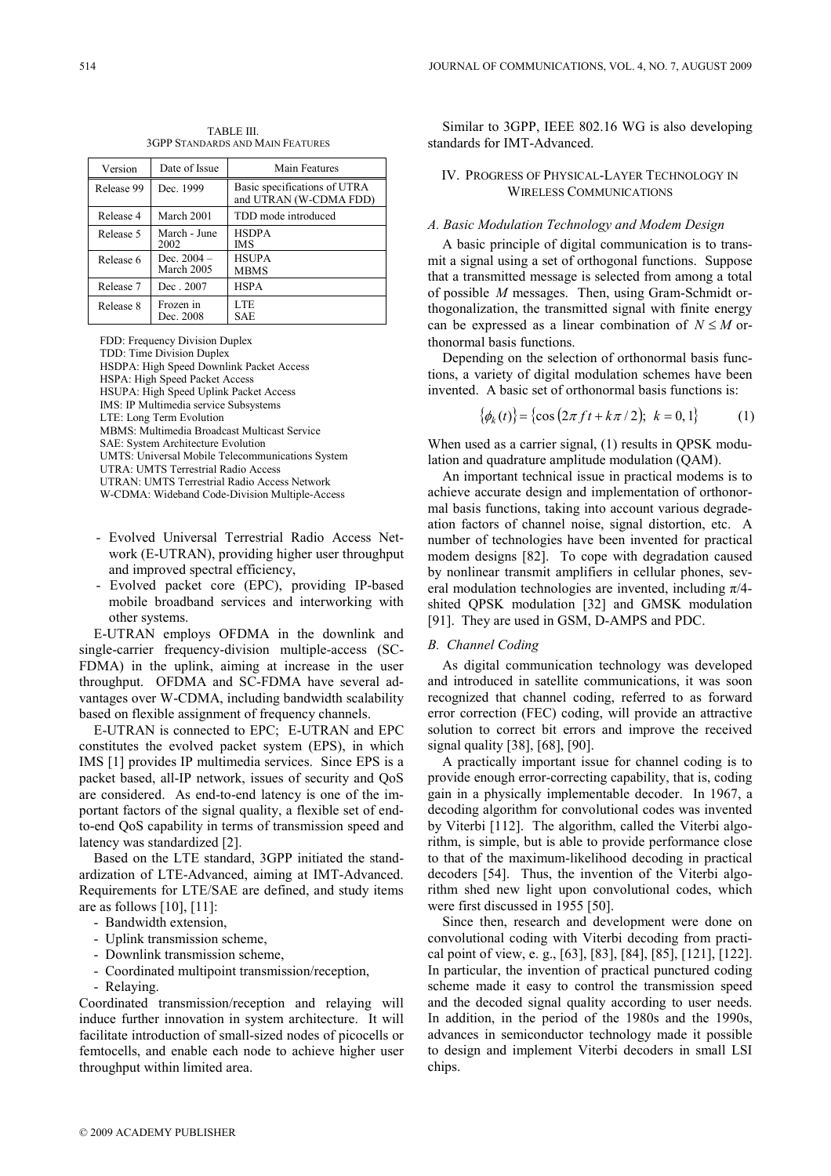TABLE III. 3GPP STANDARDS AND MAIN FEATURES

| Version    | Date of Issue               | Main Features                                          |
|------------|-----------------------------|--------------------------------------------------------|
| Release 99 | Dec. 1999                   | Basic specifications of UTRA<br>and UTRAN (W-CDMA FDD) |
| Release 4  | March 2001                  | TDD mode introduced                                    |
| Release 5  | March - June<br>2002        | <b>HSDPA</b><br>IMS                                    |
| Release 6  | Dec. $2004 -$<br>March 2005 | <b>HSUPA</b><br><b>MBMS</b>                            |
| Release 7  | Dec. 2007                   | <b>HSPA</b>                                            |
| Release 8  | Frozen in<br>Dec. 2008      | LTE<br>SAE                                             |

FDD: Frequency Division Duplex

TDD: Time Division Duplex

HSDPA: High Speed Downlink Packet Access

HSPA: High Speed Packet Access

HSUPA: High Speed Uplink Packet Access IMS: IP Multimedia service Subsystems

LTE: Long Term Evolution

MBMS: Multimedia Broadcast Multicast Service

SAE: System Architecture Evolution

UMTS: Universal Mobile Telecommunications System

UTRA: UMTS Terrestrial Radio Access

UTRAN: UMTS Terrestrial Radio Access Network

W-CDMA: Wideband Code-Division Multiple-Access

- Evolved Universal Terrestrial Radio Access Network (E-UTRAN), providing higher user throughput and improved spectral efficiency,
- Evolved packet core (EPC), providing IP-based mobile broadband services and interworking with other systems.

E-UTRAN employs OFDMA in the downlink and single-carrier frequency-division multiple-access (SC-FDMA) in the uplink, aiming at increase in the user throughput. OFDMA and SC-FDMA have several advantages over W-CDMA, including bandwidth scalability based on flexible assignment of frequency channels.

E-UTRAN is connected to EPC; E-UTRAN and EPC constitutes the evolved packet system (EPS), in which IMS [1] provides IP multimedia services. Since EPS is a packet based, all-IP network, issues of security and QoS are considered. As end-to-end latency is one of the important factors of the signal quality, a flexible set of endto-end QoS capability in terms of transmission speed and latency was standardized [2].

Based on the LTE standard, 3GPP initiated the standardization of LTE-Advanced, aiming at IMT-Advanced. Requirements for LTE/SAE are defined, and study items are as follows [10], [11]:

- Bandwidth extension,
- Uplink transmission scheme,
- Downlink transmission scheme,
- Coordinated multipoint transmission/reception,
- Relaying.

Coordinated transmission/reception and relaying will induce further innovation in system architecture. It will facilitate introduction of small-sized nodes of picocells or femtocells, and enable each node to achieve higher user throughput within limited area.

Similar to 3GPP, IEEE 802.16 WG is also developing standards for IMT-Advanced.

# IV. PROGRESS OF PHYSICAL-LAYER TECHNOLOGY IN WIRELESS COMMUNICATIONS

# A. Basic Modulation Technology and Modem Design

A basic principle of digital communication is to transmit a signal using a set of orthogonal functions. Suppose that a transmitted message is selected from among a total of possible M messages. Then, using Gram-Schmidt orthogonalization, the transmitted signal with finite energy can be expressed as a linear combination of  $N \leq M$  orthonormal basis functions.

Depending on the selection of orthonormal basis functions, a variety of digital modulation schemes have been invented. A basic set of orthonormal basis functions is:

$$
\{\phi_k(t)\} = \{\cos(2\pi ft + k\pi/2); \ k = 0, 1\}
$$
 (1)

When used as a carrier signal, (1) results in QPSK modulation and quadrature amplitude modulation (QAM).

An important technical issue in practical modems is to achieve accurate design and implementation of orthonormal basis functions, taking into account various degradeation factors of channel noise, signal distortion, etc. A number of technologies have been invented for practical modem designs [82]. To cope with degradation caused by nonlinear transmit amplifiers in cellular phones, several modulation technologies are invented, including  $\pi/4$ shited QPSK modulation [32] and GMSK modulation [91]. They are used in GSM, D-AMPS and PDC.

#### B. Channel Coding

As digital communication technology was developed and introduced in satellite communications, it was soon recognized that channel coding, referred to as forward error correction (FEC) coding, will provide an attractive solution to correct bit errors and improve the received signal quality [38], [68], [90].

A practically important issue for channel coding is to provide enough error-correcting capability, that is, coding gain in a physically implementable decoder. In 1967, a decoding algorithm for convolutional codes was invented by Viterbi [112]. The algorithm, called the Viterbi algorithm, is simple, but is able to provide performance close to that of the maximum-likelihood decoding in practical decoders [54]. Thus, the invention of the Viterbi algorithm shed new light upon convolutional codes, which were first discussed in 1955 [50].

Since then, research and development were done on convolutional coding with Viterbi decoding from practical point of view, e. g., [63], [83], [84], [85], [121], [122]. In particular, the invention of practical punctured coding scheme made it easy to control the transmission speed and the decoded signal quality according to user needs. In addition, in the period of the 1980s and the 1990s, advances in semiconductor technology made it possible to design and implement Viterbi decoders in small LSI chips.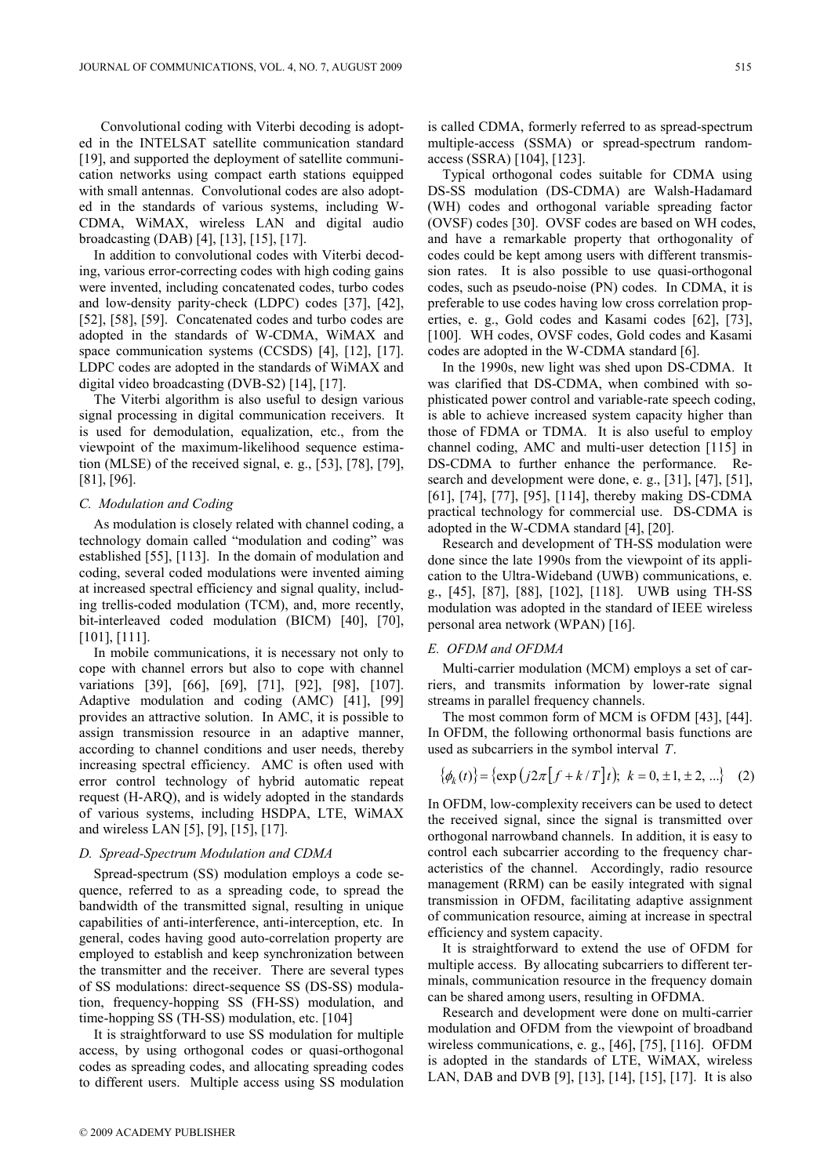Convolutional coding with Viterbi decoding is adopted in the INTELSAT satellite communication standard [19], and supported the deployment of satellite communication networks using compact earth stations equipped with small antennas. Convolutional codes are also adopted in the standards of various systems, including W-CDMA, WiMAX, wireless LAN and digital audio broadcasting (DAB) [4], [13], [15], [17].

In addition to convolutional codes with Viterbi decoding, various error-correcting codes with high coding gains were invented, including concatenated codes, turbo codes and low-density parity-check (LDPC) codes [37], [42], [52], [58], [59]. Concatenated codes and turbo codes are adopted in the standards of W-CDMA, WiMAX and space communication systems (CCSDS) [4], [12], [17]. LDPC codes are adopted in the standards of WiMAX and digital video broadcasting (DVB-S2) [14], [17].

The Viterbi algorithm is also useful to design various signal processing in digital communication receivers. It is used for demodulation, equalization, etc., from the viewpoint of the maximum-likelihood sequence estimation (MLSE) of the received signal, e. g., [53], [78], [79], [81], [96].

#### C. Modulation and Coding

As modulation is closely related with channel coding, a technology domain called "modulation and coding" was established [55], [113]. In the domain of modulation and coding, several coded modulations were invented aiming at increased spectral efficiency and signal quality, including trellis-coded modulation (TCM), and, more recently, bit-interleaved coded modulation (BICM) [40], [70], [101], [111].

In mobile communications, it is necessary not only to cope with channel errors but also to cope with channel variations [39], [66], [69], [71], [92], [98], [107]. Adaptive modulation and coding (AMC) [41], [99] provides an attractive solution. In AMC, it is possible to assign transmission resource in an adaptive manner, according to channel conditions and user needs, thereby increasing spectral efficiency. AMC is often used with error control technology of hybrid automatic repeat request (H-ARQ), and is widely adopted in the standards of various systems, including HSDPA, LTE, WiMAX and wireless LAN [5], [9], [15], [17].

# D. Spread-Spectrum Modulation and CDMA

Spread-spectrum (SS) modulation employs a code sequence, referred to as a spreading code, to spread the bandwidth of the transmitted signal, resulting in unique capabilities of anti-interference, anti-interception, etc. In general, codes having good auto-correlation property are employed to establish and keep synchronization between the transmitter and the receiver. There are several types of SS modulations: direct-sequence SS (DS-SS) modulation, frequency-hopping SS (FH-SS) modulation, and time-hopping SS (TH-SS) modulation, etc. [104]

It is straightforward to use SS modulation for multiple access, by using orthogonal codes or quasi-orthogonal codes as spreading codes, and allocating spreading codes to different users. Multiple access using SS modulation is called CDMA, formerly referred to as spread-spectrum multiple-access (SSMA) or spread-spectrum randomaccess (SSRA) [104], [123].

Typical orthogonal codes suitable for CDMA using DS-SS modulation (DS-CDMA) are Walsh-Hadamard (WH) codes and orthogonal variable spreading factor (OVSF) codes [30]. OVSF codes are based on WH codes, and have a remarkable property that orthogonality of codes could be kept among users with different transmission rates. It is also possible to use quasi-orthogonal codes, such as pseudo-noise (PN) codes. In CDMA, it is preferable to use codes having low cross correlation properties, e. g., Gold codes and Kasami codes [62], [73], [100]. WH codes, OVSF codes, Gold codes and Kasami codes are adopted in the W-CDMA standard [6].

In the 1990s, new light was shed upon DS-CDMA. It was clarified that DS-CDMA, when combined with sophisticated power control and variable-rate speech coding, is able to achieve increased system capacity higher than those of FDMA or TDMA. It is also useful to employ channel coding, AMC and multi-user detection [115] in DS-CDMA to further enhance the performance. Research and development were done, e. g., [31], [47], [51], [61], [74], [77], [95], [114], thereby making DS-CDMA practical technology for commercial use. DS-CDMA is adopted in the W-CDMA standard [4], [20].

Research and development of TH-SS modulation were done since the late 1990s from the viewpoint of its application to the Ultra-Wideband (UWB) communications, e. g., [45], [87], [88], [102], [118]. UWB using TH-SS modulation was adopted in the standard of IEEE wireless personal area network (WPAN) [16].

#### E. OFDM and OFDMA

Multi-carrier modulation (MCM) employs a set of carriers, and transmits information by lower-rate signal streams in parallel frequency channels.

The most common form of MCM is OFDM [43], [44]. In OFDM, the following orthonormal basis functions are used as subcarriers in the symbol interval T.

$$
\{\phi_k(t)\} = \{\exp(j2\pi[f+k/T]t); k = 0, \pm 1, \pm 2, ...\} \quad (2)
$$

In OFDM, low-complexity receivers can be used to detect the received signal, since the signal is transmitted over orthogonal narrowband channels. In addition, it is easy to control each subcarrier according to the frequency characteristics of the channel. Accordingly, radio resource management (RRM) can be easily integrated with signal transmission in OFDM, facilitating adaptive assignment of communication resource, aiming at increase in spectral efficiency and system capacity.

It is straightforward to extend the use of OFDM for multiple access. By allocating subcarriers to different terminals, communication resource in the frequency domain can be shared among users, resulting in OFDMA.

Research and development were done on multi-carrier modulation and OFDM from the viewpoint of broadband wireless communications, e. g., [46], [75], [116]. OFDM is adopted in the standards of LTE, WiMAX, wireless LAN, DAB and DVB [9], [13], [14], [15], [17]. It is also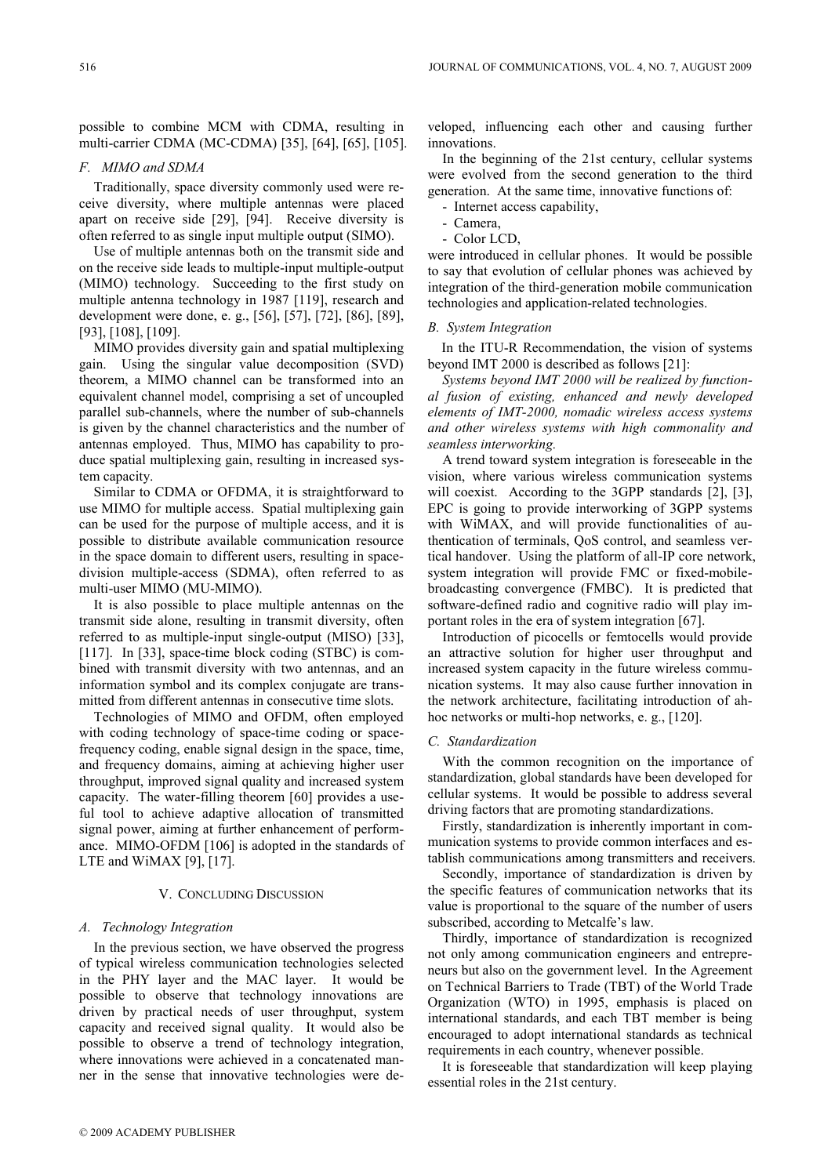possible to combine MCM with CDMA, resulting in multi-carrier CDMA (MC-CDMA) [35], [64], [65], [105].

## F. MIMO and SDMA

Traditionally, space diversity commonly used were receive diversity, where multiple antennas were placed apart on receive side [29], [94]. Receive diversity is often referred to as single input multiple output (SIMO).

Use of multiple antennas both on the transmit side and on the receive side leads to multiple-input multiple-output (MIMO) technology. Succeeding to the first study on multiple antenna technology in 1987 [119], research and development were done, e. g., [56], [57], [72], [86], [89], [93], [108], [109].

MIMO provides diversity gain and spatial multiplexing gain. Using the singular value decomposition (SVD) theorem, a MIMO channel can be transformed into an equivalent channel model, comprising a set of uncoupled parallel sub-channels, where the number of sub-channels is given by the channel characteristics and the number of antennas employed. Thus, MIMO has capability to produce spatial multiplexing gain, resulting in increased system capacity.

Similar to CDMA or OFDMA, it is straightforward to use MIMO for multiple access. Spatial multiplexing gain can be used for the purpose of multiple access, and it is possible to distribute available communication resource in the space domain to different users, resulting in spacedivision multiple-access (SDMA), often referred to as multi-user MIMO (MU-MIMO).

It is also possible to place multiple antennas on the transmit side alone, resulting in transmit diversity, often referred to as multiple-input single-output (MISO) [33], [117]. In [33], space-time block coding (STBC) is combined with transmit diversity with two antennas, and an information symbol and its complex conjugate are transmitted from different antennas in consecutive time slots.

Technologies of MIMO and OFDM, often employed with coding technology of space-time coding or spacefrequency coding, enable signal design in the space, time, and frequency domains, aiming at achieving higher user throughput, improved signal quality and increased system capacity. The water-filling theorem [60] provides a useful tool to achieve adaptive allocation of transmitted signal power, aiming at further enhancement of performance. MIMO-OFDM [106] is adopted in the standards of LTE and WiMAX [9], [17].

### V. CONCLUDING DISCUSSION

#### A. Technology Integration

In the previous section, we have observed the progress of typical wireless communication technologies selected in the PHY layer and the MAC layer. It would be possible to observe that technology innovations are driven by practical needs of user throughput, system capacity and received signal quality. It would also be possible to observe a trend of technology integration, where innovations were achieved in a concatenated manner in the sense that innovative technologies were developed, influencing each other and causing further innovations.

In the beginning of the 21st century, cellular systems were evolved from the second generation to the third generation. At the same time, innovative functions of:

- Internet access capability,
- Camera,
- Color LCD,

were introduced in cellular phones. It would be possible to say that evolution of cellular phones was achieved by integration of the third-generation mobile communication technologies and application-related technologies.

#### B. System Integration

In the ITU-R Recommendation, the vision of systems beyond IMT 2000 is described as follows [21]:

Systems beyond IMT 2000 will be realized by functional fusion of existing, enhanced and newly developed elements of IMT-2000, nomadic wireless access systems and other wireless systems with high commonality and seamless interworking.

A trend toward system integration is foreseeable in the vision, where various wireless communication systems will coexist. According to the 3GPP standards [2], [3], EPC is going to provide interworking of 3GPP systems with WiMAX, and will provide functionalities of authentication of terminals, QoS control, and seamless vertical handover. Using the platform of all-IP core network, system integration will provide FMC or fixed-mobilebroadcasting convergence (FMBC). It is predicted that software-defined radio and cognitive radio will play important roles in the era of system integration [67].

Introduction of picocells or femtocells would provide an attractive solution for higher user throughput and increased system capacity in the future wireless communication systems. It may also cause further innovation in the network architecture, facilitating introduction of ahhoc networks or multi-hop networks, e. g., [120].

## C. Standardization

With the common recognition on the importance of standardization, global standards have been developed for cellular systems. It would be possible to address several driving factors that are promoting standardizations.

Firstly, standardization is inherently important in communication systems to provide common interfaces and establish communications among transmitters and receivers.

Secondly, importance of standardization is driven by the specific features of communication networks that its value is proportional to the square of the number of users subscribed, according to Metcalfe's law.

Thirdly, importance of standardization is recognized not only among communication engineers and entrepreneurs but also on the government level. In the Agreement on Technical Barriers to Trade (TBT) of the World Trade Organization (WTO) in 1995, emphasis is placed on international standards, and each TBT member is being encouraged to adopt international standards as technical requirements in each country, whenever possible.

It is foreseeable that standardization will keep playing essential roles in the 21st century.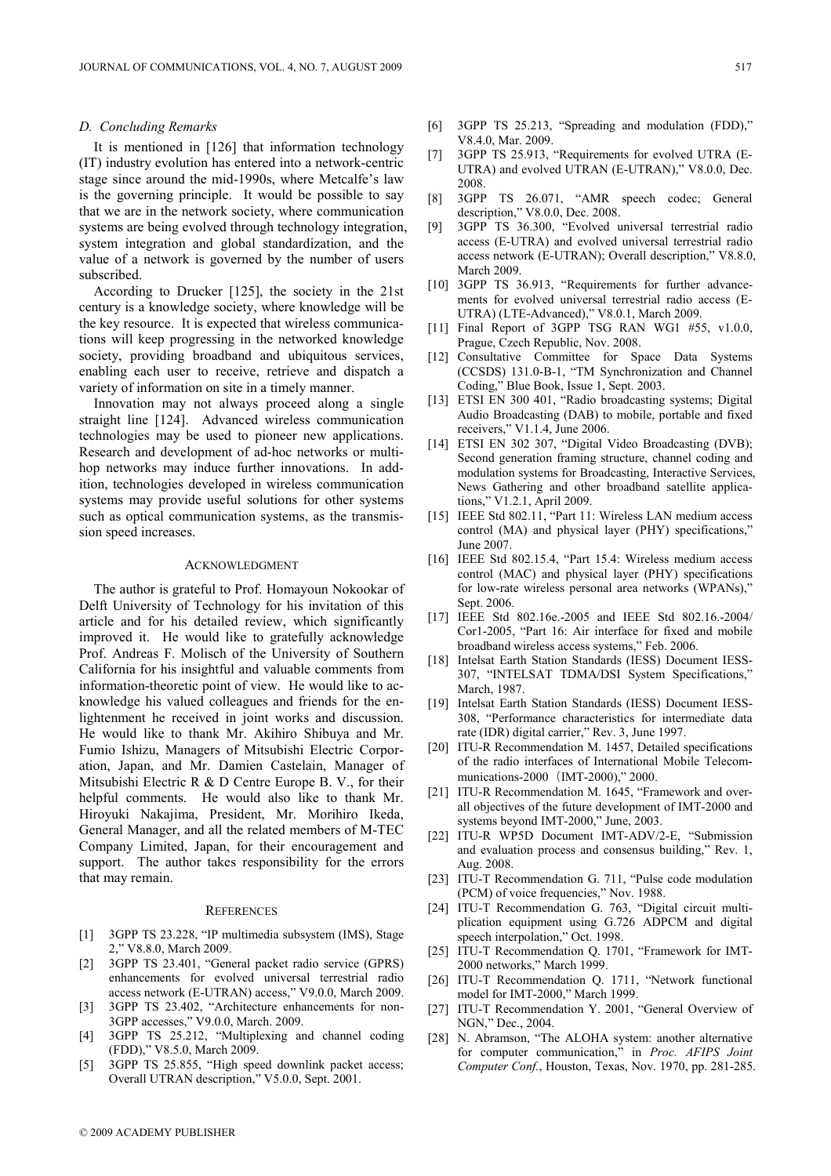#### D. Concluding Remarks

It is mentioned in [126] that information technology (IT) industry evolution has entered into a network-centric stage since around the mid-1990s, where Metcalfe's law is the governing principle. It would be possible to say that we are in the network society, where communication systems are being evolved through technology integration, system integration and global standardization, and the value of a network is governed by the number of users subscribed.

According to Drucker [125], the society in the 21st century is a knowledge society, where knowledge will be the key resource. It is expected that wireless communications will keep progressing in the networked knowledge society, providing broadband and ubiquitous services, enabling each user to receive, retrieve and dispatch a variety of information on site in a timely manner.

Innovation may not always proceed along a single straight line [124]. Advanced wireless communication technologies may be used to pioneer new applications. Research and development of ad-hoc networks or multihop networks may induce further innovations. In addition, technologies developed in wireless communication systems may provide useful solutions for other systems such as optical communication systems, as the transmission speed increases.

## ACKNOWLEDGMENT

The author is grateful to Prof. Homayoun Nokookar of Delft University of Technology for his invitation of this article and for his detailed review, which significantly improved it. He would like to gratefully acknowledge Prof. Andreas F. Molisch of the University of Southern California for his insightful and valuable comments from information-theoretic point of view. He would like to acknowledge his valued colleagues and friends for the enlightenment he received in joint works and discussion. He would like to thank Mr. Akihiro Shibuya and Mr. Fumio Ishizu, Managers of Mitsubishi Electric Corporation, Japan, and Mr. Damien Castelain, Manager of Mitsubishi Electric R & D Centre Europe B. V., for their helpful comments. He would also like to thank Mr. Hiroyuki Nakajima, President, Mr. Morihiro Ikeda, General Manager, and all the related members of M-TEC Company Limited, Japan, for their encouragement and support. The author takes responsibility for the errors that may remain.

#### **REFERENCES**

- [1] 3GPP TS 23.228, "IP multimedia subsystem (IMS), Stage 2," V8.8.0, March 2009.
- [2] 3GPP TS 23.401, "General packet radio service (GPRS) enhancements for evolved universal terrestrial radio access network (E-UTRAN) access," V9.0.0, March 2009.
- [3] 3GPP TS 23.402, "Architecture enhancements for non-3GPP accesses," V9.0.0, March. 2009.
- [4] 3GPP TS 25.212, "Multiplexing and channel coding (FDD)," V8.5.0, March 2009.
- [5] 3GPP TS 25.855, "High speed downlink packet access; Overall UTRAN description," V5.0.0, Sept. 2001.
- [6] 3GPP TS 25.213, "Spreading and modulation (FDD)," V8.4.0, Mar. 2009.
- [7] 3GPP TS 25.913, "Requirements for evolved UTRA (E-UTRA) and evolved UTRAN (E-UTRAN)," V8.0.0, Dec. 2008.
- [8] 3GPP TS 26.071, "AMR speech codec; General description," V8.0.0, Dec. 2008.
- [9] 3GPP TS 36.300, "Evolved universal terrestrial radio access (E-UTRA) and evolved universal terrestrial radio access network (E-UTRAN); Overall description," V8.8.0, March 2009.
- [10] 3GPP TS 36.913, "Requirements for further advancements for evolved universal terrestrial radio access (E-UTRA) (LTE-Advanced)," V8.0.1, March 2009.
- [11] Final Report of 3GPP TSG RAN WG1 #55, v1.0.0, Prague, Czech Republic, Nov. 2008.
- [12] Consultative Committee for Space Data Systems (CCSDS) 131.0-B-1, "TM Synchronization and Channel Coding," Blue Book, Issue 1, Sept. 2003.
- [13] ETSI EN 300 401, "Radio broadcasting systems; Digital Audio Broadcasting (DAB) to mobile, portable and fixed receivers," V1.1.4, June 2006.
- [14] ETSI EN 302 307, "Digital Video Broadcasting (DVB); Second generation framing structure, channel coding and modulation systems for Broadcasting, Interactive Services, News Gathering and other broadband satellite applications," V1.2.1, April 2009.
- [15] IEEE Std 802.11, "Part 11: Wireless LAN medium access control (MA) and physical layer (PHY) specifications," June 2007.
- [16] IEEE Std 802.15.4, "Part 15.4: Wireless medium access control (MAC) and physical layer (PHY) specifications for low-rate wireless personal area networks (WPANs)," Sept. 2006.
- [17] IEEE Std 802.16e.-2005 and IEEE Std 802.16.-2004/ Cor1-2005, "Part 16: Air interface for fixed and mobile broadband wireless access systems," Feb. 2006.
- [18] Intelsat Earth Station Standards (IESS) Document IESS-307, "INTELSAT TDMA/DSI System Specifications," March, 1987.
- [19] Intelsat Earth Station Standards (IESS) Document IESS-308, "Performance characteristics for intermediate data rate (IDR) digital carrier," Rev. 3, June 1997.
- [20] ITU-R Recommendation M. 1457, Detailed specifications of the radio interfaces of International Mobile Telecommunications-2000 (IMT-2000)," 2000.
- [21] ITU-R Recommendation M. 1645, "Framework and overall objectives of the future development of IMT-2000 and systems beyond IMT-2000," June, 2003.
- [22] ITU-R WP5D Document IMT-ADV/2-E, "Submission and evaluation process and consensus building," Rev. 1, Aug. 2008.
- [23] ITU-T Recommendation G. 711, "Pulse code modulation (PCM) of voice frequencies," Nov. 1988.
- [24] ITU-T Recommendation G. 763, "Digital circuit multiplication equipment using G.726 ADPCM and digital speech interpolation," Oct. 1998.
- [25] ITU-T Recommendation Q. 1701, "Framework for IMT-2000 networks," March 1999.
- [26] ITU-T Recommendation Q. 1711, "Network functional model for IMT-2000," March 1999.
- [27] ITU-T Recommendation Y. 2001, "General Overview of NGN," Dec., 2004.
- [28] N. Abramson, "The ALOHA system: another alternative for computer communication," in Proc. AFIPS Joint Computer Conf., Houston, Texas, Nov. 1970, pp. 281-285.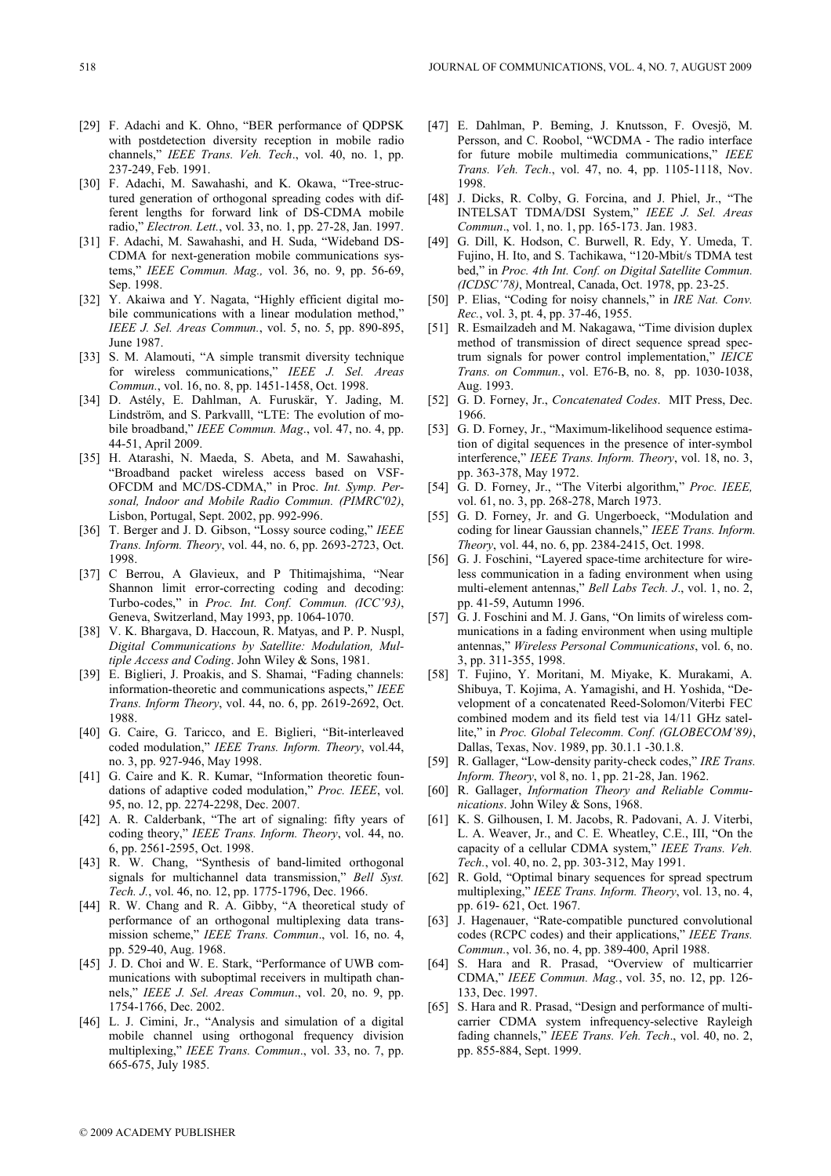- [29] F. Adachi and K. Ohno, "BER performance of ODPSK with postdetection diversity reception in mobile radio channels," IEEE Trans. Veh. Tech., vol. 40, no. 1, pp. 237-249, Feb. 1991.
- [30] F. Adachi, M. Sawahashi, and K. Okawa, "Tree-structured generation of orthogonal spreading codes with different lengths for forward link of DS-CDMA mobile radio," Electron. Lett., vol. 33, no. 1, pp. 27-28, Jan. 1997.
- [31] F. Adachi, M. Sawahashi, and H. Suda, "Wideband DS-CDMA for next-generation mobile communications systems," IEEE Commun. Mag., vol. 36, no. 9, pp. 56-69, Sep. 1998.
- [32] Y. Akaiwa and Y. Nagata, "Highly efficient digital mobile communications with a linear modulation method," IEEE J. Sel. Areas Commun., vol. 5, no. 5, pp. 890-895, June 1987.
- [33] S. M. Alamouti, "A simple transmit diversity technique for wireless communications," IEEE J. Sel. Areas Commun., vol. 16, no. 8, pp. 1451-1458, Oct. 1998.
- [34] D. Astély, E. Dahlman, A. Furuskär, Y. Jading, M. Lindström, and S. Parkvalll, "LTE: The evolution of mobile broadband," IEEE Commun. Mag., vol. 47, no. 4, pp. 44-51, April 2009.
- [35] H. Atarashi, N. Maeda, S. Abeta, and M. Sawahashi, "Broadband packet wireless access based on VSF-OFCDM and MC/DS-CDMA," in Proc. Int. Symp. Personal, Indoor and Mobile Radio Commun. (PIMRC'02), Lisbon, Portugal, Sept. 2002, pp. 992-996.
- [36] T. Berger and J. D. Gibson, "Lossy source coding," IEEE Trans. Inform. Theory, vol. 44, no. 6, pp. 2693-2723, Oct. 1998.
- [37] C Berrou, A Glavieux, and P Thitimajshima, "Near Shannon limit error-correcting coding and decoding: Turbo-codes," in Proc. Int. Conf. Commun. (ICC'93), Geneva, Switzerland, May 1993, pp. 1064-1070.
- [38] V. K. Bhargava, D. Haccoun, R. Matyas, and P. P. Nuspl, Digital Communications by Satellite: Modulation, Multiple Access and Coding. John Wiley & Sons, 1981.
- [39] E. Biglieri, J. Proakis, and S. Shamai, "Fading channels: information-theoretic and communications aspects," IEEE Trans. Inform Theory, vol. 44, no. 6, pp. 2619-2692, Oct. 1988.
- [40] G. Caire, G. Taricco, and E. Biglieri, "Bit-interleaved coded modulation," IEEE Trans. Inform. Theory, vol.44, no. 3, pp. 927-946, May 1998.
- [41] G. Caire and K. R. Kumar, "Information theoretic foundations of adaptive coded modulation," Proc. IEEE, vol. 95, no. 12, pp. 2274-2298, Dec. 2007.
- [42] A. R. Calderbank, "The art of signaling: fifty years of coding theory," IEEE Trans. Inform. Theory, vol. 44, no. 6, pp. 2561-2595, Oct. 1998.
- [43] R. W. Chang, "Synthesis of band-limited orthogonal signals for multichannel data transmission," Bell Syst. Tech. J., vol. 46, no. 12, pp. 1775-1796, Dec. 1966.
- [44] R. W. Chang and R. A. Gibby, "A theoretical study of performance of an orthogonal multiplexing data transmission scheme," IEEE Trans. Commun., vol. 16, no. 4, pp. 529-40, Aug. 1968.
- [45] J. D. Choi and W. E. Stark, "Performance of UWB communications with suboptimal receivers in multipath channels," IEEE J. Sel. Areas Commun., vol. 20, no. 9, pp. 1754-1766, Dec. 2002.
- [46] L. J. Cimini, Jr., "Analysis and simulation of a digital mobile channel using orthogonal frequency division multiplexing," IEEE Trans. Commun., vol. 33, no. 7, pp. 665-675, July 1985.
- [47] E. Dahlman, P. Beming, J. Knutsson, F. Ovesjö, M. Persson, and C. Roobol, "WCDMA - The radio interface for future mobile multimedia communications," IEEE Trans. Veh. Tech., vol. 47, no. 4, pp. 1105-1118, Nov. 1998.
- [48] J. Dicks, R. Colby, G. Forcina, and J. Phiel, Jr., "The INTELSAT TDMA/DSI System," IEEE J. Sel. Areas Commun., vol. 1, no. 1, pp. 165-173. Jan. 1983.
- [49] G. Dill, K. Hodson, C. Burwell, R. Edy, Y. Umeda, T. Fujino, H. Ito, and S. Tachikawa, "120-Mbit/s TDMA test bed," in Proc. 4th Int. Conf. on Digital Satellite Commun. (ICDSC'78), Montreal, Canada, Oct. 1978, pp. 23-25.
- [50] P. Elias, "Coding for noisy channels," in IRE Nat. Conv. Rec., vol. 3, pt. 4, pp. 37-46, 1955.
- [51] R. Esmailzadeh and M. Nakagawa, "Time division duplex method of transmission of direct sequence spread spectrum signals for power control implementation," IEICE Trans. on Commun., vol. E76-B, no. 8, pp. 1030-1038, Aug. 1993.
- [52] G. D. Forney, Jr., Concatenated Codes. MIT Press, Dec. 1966.
- [53] G. D. Forney, Jr., "Maximum-likelihood sequence estimation of digital sequences in the presence of inter-symbol interference," IEEE Trans. Inform. Theory, vol. 18, no. 3, pp. 363-378, May 1972.
- [54] G. D. Forney, Jr., "The Viterbi algorithm," Proc. IEEE, vol. 61, no. 3, pp. 268-278, March 1973.
- [55] G. D. Forney, Jr. and G. Ungerboeck, "Modulation and coding for linear Gaussian channels," IEEE Trans. Inform. Theory, vol. 44, no. 6, pp. 2384-2415, Oct. 1998.
- [56] G. J. Foschini, "Layered space-time architecture for wireless communication in a fading environment when using multi-element antennas," Bell Labs Tech. J., vol. 1, no. 2, pp. 41-59, Autumn 1996.
- [57] G. J. Foschini and M. J. Gans, "On limits of wireless communications in a fading environment when using multiple antennas," Wireless Personal Communications, vol. 6, no. 3, pp. 311-355, 1998.
- [58] T. Fujino, Y. Moritani, M. Miyake, K. Murakami, A. Shibuya, T. Kojima, A. Yamagishi, and H. Yoshida, "Development of a concatenated Reed-Solomon/Viterbi FEC combined modem and its field test via 14/11 GHz satellite," in Proc. Global Telecomm. Conf. (GLOBECOM'89), Dallas, Texas, Nov. 1989, pp. 30.1.1 -30.1.8.
- [59] R. Gallager, "Low-density parity-check codes," IRE Trans. Inform. Theory, vol 8, no. 1, pp. 21-28, Jan. 1962.
- [60] R. Gallager, *Information Theory and Reliable Commu*nications. John Wiley & Sons, 1968.
- [61] K. S. Gilhousen, I. M. Jacobs, R. Padovani, A. J. Viterbi, L. A. Weaver, Jr., and C. E. Wheatley, C.E., III, "On the capacity of a cellular CDMA system," IEEE Trans. Veh. Tech., vol. 40, no. 2, pp. 303-312, May 1991.
- [62] R. Gold, "Optimal binary sequences for spread spectrum multiplexing," IEEE Trans. Inform. Theory, vol. 13, no. 4, pp. 619- 621, Oct. 1967.
- [63] J. Hagenauer, "Rate-compatible punctured convolutional codes (RCPC codes) and their applications," IEEE Trans. Commun., vol. 36, no. 4, pp. 389-400, April 1988.
- [64] S. Hara and R. Prasad, "Overview of multicarrier CDMA," IEEE Commun. Mag., vol. 35, no. 12, pp. 126- 133, Dec. 1997.
- [65] S. Hara and R. Prasad, "Design and performance of multicarrier CDMA system infrequency-selective Rayleigh fading channels," IEEE Trans. Veh. Tech., vol. 40, no. 2, pp. 855-884, Sept. 1999.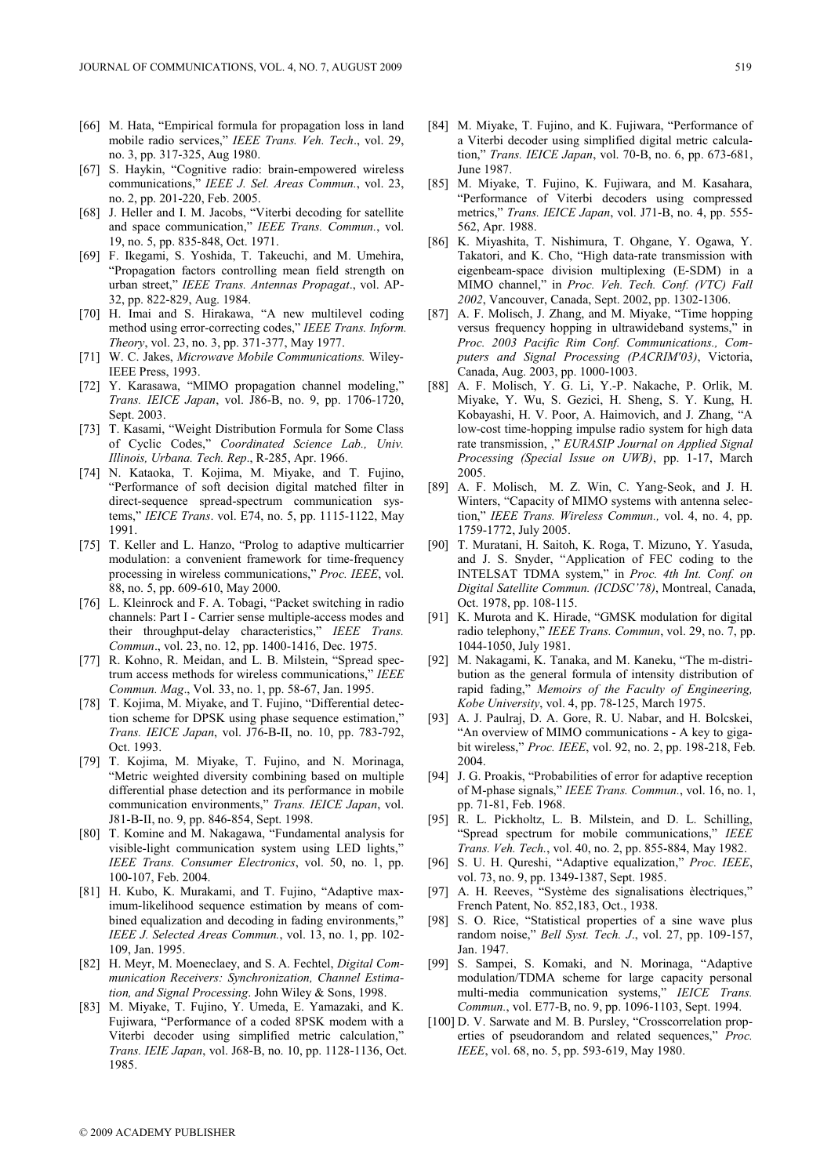- [66] M. Hata, "Empirical formula for propagation loss in land mobile radio services," IEEE Trans. Veh. Tech., vol. 29, no. 3, pp. 317-325, Aug 1980.
- [67] S. Haykin, "Cognitive radio: brain-empowered wireless communications," IEEE J. Sel. Areas Commun., vol. 23, no. 2, pp. 201-220, Feb. 2005.
- [68] J. Heller and I. M. Jacobs, "Viterbi decoding for satellite and space communication," IEEE Trans. Commun., vol. 19, no. 5, pp. 835-848, Oct. 1971.
- [69] F. Ikegami, S. Yoshida, T. Takeuchi, and M. Umehira, "Propagation factors controlling mean field strength on urban street," IEEE Trans. Antennas Propagat., vol. AP-32, pp. 822-829, Aug. 1984.
- [70] H. Imai and S. Hirakawa, "A new multilevel coding method using error-correcting codes," IEEE Trans. Inform. Theory, vol. 23, no. 3, pp. 371-377, May 1977.
- [71] W. C. Jakes, Microwave Mobile Communications. Wiley-IEEE Press, 1993.
- [72] Y. Karasawa, "MIMO propagation channel modeling," Trans. IEICE Japan, vol. J86-B, no. 9, pp. 1706-1720, Sept. 2003.
- [73] T. Kasami, "Weight Distribution Formula for Some Class of Cyclic Codes," Coordinated Science Lab., Univ. Illinois, Urbana. Tech. Rep., R-285, Apr. 1966.
- [74] N. Kataoka, T. Kojima, M. Miyake, and T. Fujino, "Performance of soft decision digital matched filter in direct-sequence spread-spectrum communication systems," IEICE Trans. vol. E74, no. 5, pp. 1115-1122, May 1991.
- [75] T. Keller and L. Hanzo, "Prolog to adaptive multicarrier modulation: a convenient framework for time-frequency processing in wireless communications," Proc. IEEE, vol. 88, no. 5, pp. 609-610, May 2000.
- [76] L. Kleinrock and F. A. Tobagi, "Packet switching in radio channels: Part I - Carrier sense multiple-access modes and their throughput-delay characteristics," IEEE Trans. Commun., vol. 23, no. 12, pp. 1400-1416, Dec. 1975.
- [77] R. Kohno, R. Meidan, and L. B. Milstein, "Spread spectrum access methods for wireless communications," IEEE Commun. Mag., Vol. 33, no. 1, pp. 58-67, Jan. 1995.
- [78] T. Kojima, M. Miyake, and T. Fujino, "Differential detection scheme for DPSK using phase sequence estimation," Trans. IEICE Japan, vol. J76-B-II, no. 10, pp. 783-792, Oct. 1993.
- [79] T. Kojima, M. Miyake, T. Fujino, and N. Morinaga, "Metric weighted diversity combining based on multiple differential phase detection and its performance in mobile communication environments," Trans. IEICE Japan, vol. J81-B-II, no. 9, pp. 846-854, Sept. 1998.
- [80] T. Komine and M. Nakagawa, "Fundamental analysis for visible-light communication system using LED lights," IEEE Trans. Consumer Electronics, vol. 50, no. 1, pp. 100-107, Feb. 2004.
- [81] H. Kubo, K. Murakami, and T. Fujino, "Adaptive maximum-likelihood sequence estimation by means of combined equalization and decoding in fading environments," IEEE J. Selected Areas Commun., vol. 13, no. 1, pp. 102-109, Jan. 1995.
- [82] H. Meyr, M. Moeneclaey, and S. A. Fechtel, Digital Communication Receivers: Synchronization, Channel Estimation, and Signal Processing. John Wiley & Sons, 1998.
- [83] M. Miyake, T. Fujino, Y. Umeda, E. Yamazaki, and K. Fujiwara, "Performance of a coded 8PSK modem with a Viterbi decoder using simplified metric calculation," Trans. IEIE Japan, vol. J68-B, no. 10, pp. 1128-1136, Oct. 1985.
- [84] M. Miyake, T. Fujino, and K. Fujiwara, "Performance of a Viterbi decoder using simplified digital metric calculation," Trans. IEICE Japan, vol. 70-B, no. 6, pp. 673-681, June 1987.
- [85] M. Miyake, T. Fujino, K. Fujiwara, and M. Kasahara, "Performance of Viterbi decoders using compressed metrics," Trans. IEICE Japan, vol. J71-B, no. 4, pp. 555-562, Apr. 1988.
- [86] K. Miyashita, T. Nishimura, T. Ohgane, Y. Ogawa, Y. Takatori, and K. Cho, "High data-rate transmission with eigenbeam-space division multiplexing (E-SDM) in a MIMO channel," in Proc. Veh. Tech. Conf. (VTC) Fall 2002, Vancouver, Canada, Sept. 2002, pp. 1302-1306.
- [87] A. F. Molisch, J. Zhang, and M. Miyake, "Time hopping versus frequency hopping in ultrawideband systems,' Proc. 2003 Pacific Rim Conf. Communications., Computers and Signal Processing (PACRIM'03), Victoria, Canada, Aug. 2003, pp. 1000-1003.
- [88] A. F. Molisch, Y. G. Li, Y.-P. Nakache, P. Orlik, M. Miyake, Y. Wu, S. Gezici, H. Sheng, S. Y. Kung, H. Kobayashi, H. V. Poor, A. Haimovich, and J. Zhang, "A low-cost time-hopping impulse radio system for high data rate transmission, ," EURASIP Journal on Applied Signal Processing (Special Issue on UWB), pp. 1-17, March 2005.
- [89] A. F. Molisch, M. Z. Win, C. Yang-Seok, and J. H. Winters, "Capacity of MIMO systems with antenna selection," IEEE Trans. Wireless Commun., vol. 4, no. 4, pp. 1759-1772, July 2005.
- [90] T. Muratani, H. Saitoh, K. Roga, T. Mizuno, Y. Yasuda, and J. S. Snyder, "Application of FEC coding to the INTELSAT TDMA system," in Proc. 4th Int. Conf. on Digital Satellite Commun. (ICDSC'78), Montreal, Canada, Oct. 1978, pp. 108-115.
- [91] K. Murota and K. Hirade, "GMSK modulation for digital radio telephony," IEEE Trans. Commun, vol. 29, no. 7, pp. 1044-1050, July 1981.
- [92] M. Nakagami, K. Tanaka, and M. Kaneku, "The m-distribution as the general formula of intensity distribution of rapid fading," Memoirs of the Faculty of Engineering, Kobe University, vol. 4, pp. 78-125, March 1975.
- [93] A. J. Paulraj, D. A. Gore, R. U. Nabar, and H. Bolcskei, "An overview of MIMO communications - A key to gigabit wireless," Proc. IEEE, vol. 92, no. 2, pp. 198-218, Feb. 2004.
- [94] J. G. Proakis, "Probabilities of error for adaptive reception of M-phase signals," IEEE Trans. Commun., vol. 16, no. 1, pp. 71-81, Feb. 1968.
- [95] R. L. Pickholtz, L. B. Milstein, and D. L. Schilling, "Spread spectrum for mobile communications," IEEE Trans. Veh. Tech., vol. 40, no. 2, pp. 855-884, May 1982.
- [96] S. U. H. Qureshi, "Adaptive equalization," Proc. IEEE, vol. 73, no. 9, pp. 1349-1387, Sept. 1985.
- [97] A. H. Reeves, "Système des signalisations èlectriques." French Patent, No. 852,183, Oct., 1938.
- [98] S. O. Rice, "Statistical properties of a sine wave plus random noise," Bell Syst. Tech. J., vol. 27, pp. 109-157, Jan. 1947.
- [99] S. Sampei, S. Komaki, and N. Morinaga, "Adaptive modulation/TDMA scheme for large capacity personal multi-media communication systems," IEICE Trans. Commun., vol. E77-B, no. 9, pp. 1096-1103, Sept. 1994.
- [100] D. V. Sarwate and M. B. Pursley, "Crosscorrelation properties of pseudorandom and related sequences," Proc. IEEE, vol. 68, no. 5, pp. 593-619, May 1980.